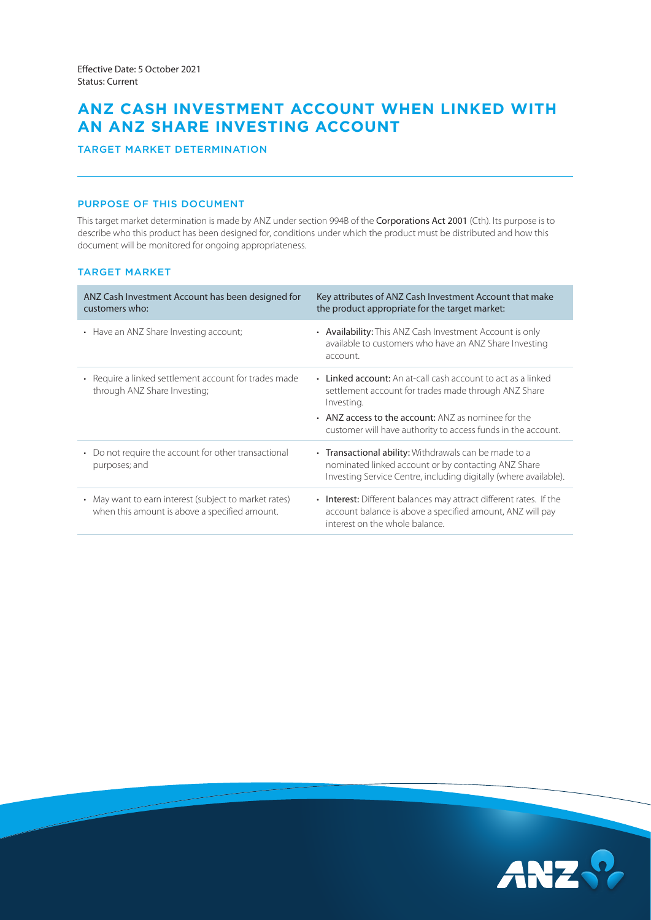# **ANZ CASH INVESTMENT ACCOUNT WHEN LINKED WITH AN ANZ SHARE INVESTING ACCOUNT**

TARGET MARKET DETERMINATION

## PURPOSE OF THIS DOCUMENT

This target market determination is made by ANZ under section 994B of the Corporations Act 2001 (Cth). Its purpose is to describe who this product has been designed for, conditions under which the product must be distributed and how this document will be monitored for ongoing appropriateness.

## TARGET MARKET

| ANZ Cash Investment Account has been designed for<br>customers who:                                    | Key attributes of ANZ Cash Investment Account that make<br>the product appropriate for the target market:                                                                                                                                                 |
|--------------------------------------------------------------------------------------------------------|-----------------------------------------------------------------------------------------------------------------------------------------------------------------------------------------------------------------------------------------------------------|
| • Have an ANZ Share Investing account;                                                                 | • Availability: This ANZ Cash Investment Account is only<br>available to customers who have an ANZ Share Investing<br>account.                                                                                                                            |
| • Require a linked settlement account for trades made<br>through ANZ Share Investing;                  | • Linked account: An at-call cash account to act as a linked<br>settlement account for trades made through ANZ Share<br>Investing.<br>• ANZ access to the account: ANZ as nominee for the<br>customer will have authority to access funds in the account. |
| Do not require the account for other transactional<br>$\bullet$<br>purposes; and                       | • Transactional ability: Withdrawals can be made to a<br>nominated linked account or by contacting ANZ Share<br>Investing Service Centre, including digitally (where available).                                                                          |
| • May want to earn interest (subject to market rates)<br>when this amount is above a specified amount. | • Interest: Different balances may attract different rates. If the<br>account balance is above a specified amount, ANZ will pay<br>interest on the whole balance.                                                                                         |

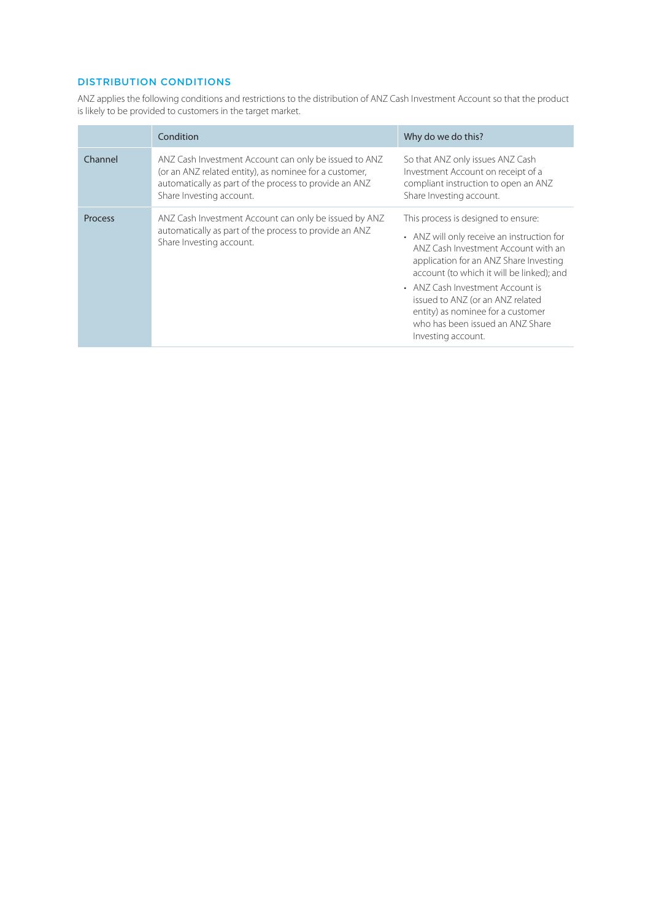# DISTRIBUTION CONDITIONS

ANZ applies the following conditions and restrictions to the distribution of ANZ Cash Investment Account so that the product is likely to be provided to customers in the target market.

|                | Condition                                                                                                                                                                                             | Why do we do this?                                                                                                                                                                                                                                                                                                                                                                     |  |
|----------------|-------------------------------------------------------------------------------------------------------------------------------------------------------------------------------------------------------|----------------------------------------------------------------------------------------------------------------------------------------------------------------------------------------------------------------------------------------------------------------------------------------------------------------------------------------------------------------------------------------|--|
| Channel        | ANZ Cash Investment Account can only be issued to ANZ<br>(or an ANZ related entity), as nominee for a customer,<br>automatically as part of the process to provide an ANZ<br>Share Investing account. | So that ANZ only issues ANZ Cash<br>Investment Account on receipt of a<br>compliant instruction to open an ANZ<br>Share Investing account.                                                                                                                                                                                                                                             |  |
| <b>Process</b> | ANZ Cash Investment Account can only be issued by ANZ<br>automatically as part of the process to provide an ANZ<br>Share Investing account.                                                           | This process is designed to ensure:<br>• ANZ will only receive an instruction for<br>ANZ Cash Investment Account with an<br>application for an ANZ Share Investing<br>account (to which it will be linked); and<br>• ANZ Cash Investment Account is<br>issued to ANZ (or an ANZ related<br>entity) as nominee for a customer<br>who has been issued an ANZ Share<br>Investing account. |  |